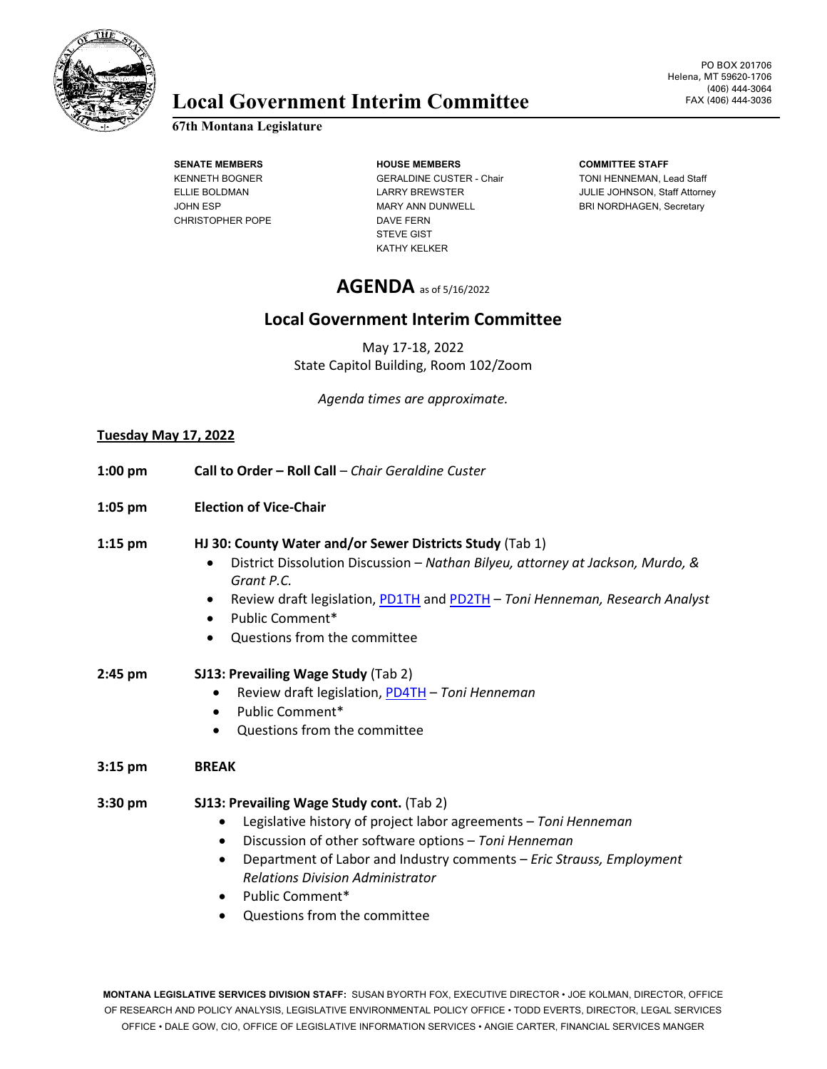

# **Local Government Interim Committee**

## **67th Montana Legislature**

CHRISTOPHER POPE DAVE FERN

**SENATE MEMBERS HOUSE MEMBERS COMMITTEE STAFF** KENNETH BOGNER GERALDINE CUSTER - Chair TONI HENNEMAN, Lead Staff JOHN ESP **MARY ANN DUNWELL** BRI NORDHAGEN, Secretary STEVE GIST KATHY KELKER

ELLIE BOLDMAN LARRY BREWSTER JULIE JOHNSON, Staff Attorney

# **AGENDA** as of 5/16/2022

# **Local Government Interim Committee**

May 17-18, 2022 State Capitol Building, Room 102/Zoom

*Agenda times are approximate.*

#### **Tuesday May 17, 2022**

| $1:00$ pm | Call to Order - Roll Call - Chair Geraldine Custer                                                                                                                                                                                                                                                                                                                                          |
|-----------|---------------------------------------------------------------------------------------------------------------------------------------------------------------------------------------------------------------------------------------------------------------------------------------------------------------------------------------------------------------------------------------------|
| $1:05$ pm | <b>Election of Vice-Chair</b>                                                                                                                                                                                                                                                                                                                                                               |
| $1:15$ pm | HJ 30: County Water and/or Sewer Districts Study (Tab 1)<br>District Dissolution Discussion - Nathan Bilyeu, attorney at Jackson, Murdo, &<br>$\bullet$<br>Grant P.C.<br>Review draft legislation, PD1TH and PD2TH - Toni Henneman, Research Analyst<br>٠<br>Public Comment*<br>$\bullet$<br>Questions from the committee<br>$\bullet$                                                      |
| $2:45$ pm | SJ13: Prevailing Wage Study (Tab 2)<br>Review draft legislation, PD4TH - Toni Henneman<br>Public Comment*<br>$\bullet$<br>Questions from the committee                                                                                                                                                                                                                                      |
| $3:15$ pm | <b>BREAK</b>                                                                                                                                                                                                                                                                                                                                                                                |
| 3:30 pm   | SJ13: Prevailing Wage Study cont. (Tab 2)<br>Legislative history of project labor agreements - Toni Henneman<br>٠<br>Discussion of other software options - Toni Henneman<br>$\bullet$<br>Department of Labor and Industry comments - Eric Strauss, Employment<br>$\bullet$<br><b>Relations Division Administrator</b><br>Public Comment*<br>$\bullet$<br>Questions from the committee<br>٠ |

**MONTANA LEGISLATIVE SERVICES DIVISION STAFF:** SUSAN BYORTH FOX, EXECUTIVE DIRECTOR • JOE KOLMAN, DIRECTOR, OFFICE OF RESEARCH AND POLICY ANALYSIS, LEGISLATIVE ENVIRONMENTAL POLICY OFFICE • TODD EVERTS, DIRECTOR, LEGAL SERVICES OFFICE • DALE GOW, CIO, OFFICE OF LEGISLATIVE INFORMATION SERVICES • ANGIE CARTER, FINANCIAL SERVICES MANGER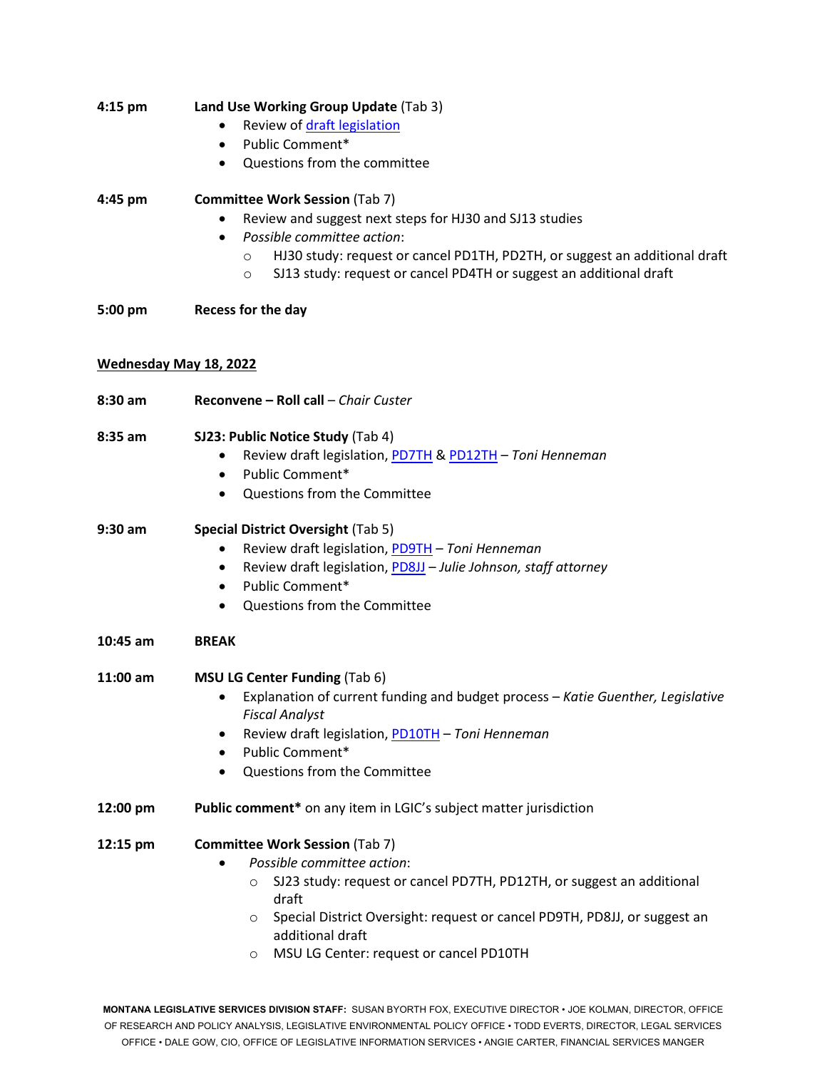| 4:15 pm  | Land Use Working Group Update (Tab 3)                                                                                                                                  |
|----------|------------------------------------------------------------------------------------------------------------------------------------------------------------------------|
|          | Review of draft legislation                                                                                                                                            |
|          | Public Comment*<br>$\bullet$                                                                                                                                           |
|          | Questions from the committee<br>$\bullet$                                                                                                                              |
| 4:45 pm  | <b>Committee Work Session (Tab 7)</b>                                                                                                                                  |
|          | Review and suggest next steps for HJ30 and SJ13 studies                                                                                                                |
|          | Possible committee action:<br>$\bullet$                                                                                                                                |
|          | HJ30 study: request or cancel PD1TH, PD2TH, or suggest an additional draft<br>$\circ$<br>SJ13 study: request or cancel PD4TH or suggest an additional draft<br>$\circ$ |
|          |                                                                                                                                                                        |
| 5:00 pm  | Recess for the day                                                                                                                                                     |
|          | Wednesday May 18, 2022                                                                                                                                                 |
|          |                                                                                                                                                                        |
| 8:30 am  | Reconvene - Roll call - Chair Custer                                                                                                                                   |
| 8:35 am  | SJ23: Public Notice Study (Tab 4)                                                                                                                                      |
|          | Review draft legislation, PD7TH & PD12TH - Toni Henneman<br>٠                                                                                                          |
|          | Public Comment*<br>$\bullet$                                                                                                                                           |
|          | Questions from the Committee<br>$\bullet$                                                                                                                              |
| 9:30 am  | <b>Special District Oversight (Tab 5)</b>                                                                                                                              |
|          | Review draft legislation, PD9TH - Toni Henneman<br>$\bullet$                                                                                                           |
|          | Review draft legislation, PD8JJ - Julie Johnson, staff attorney<br>٠                                                                                                   |
|          | Public Comment*<br>$\bullet$                                                                                                                                           |
|          | Questions from the Committee<br>$\bullet$                                                                                                                              |
| 10:45 am | <b>BREAK</b>                                                                                                                                                           |
| 11:00 am | <b>MSU LG Center Funding (Tab 6)</b>                                                                                                                                   |
|          | Explanation of current funding and budget process - Katie Guenther, Legislative                                                                                        |
|          | <b>Fiscal Analyst</b><br>Review draft legislation, PD10TH - Toni Henneman<br>٠                                                                                         |
|          | Public Comment*<br>$\bullet$                                                                                                                                           |
|          | Questions from the Committee                                                                                                                                           |
| 12:00 pm | Public comment* on any item in LGIC's subject matter jurisdiction                                                                                                      |
| 12:15 pm | <b>Committee Work Session (Tab 7)</b>                                                                                                                                  |
|          | Possible committee action:                                                                                                                                             |
|          | SJ23 study: request or cancel PD7TH, PD12TH, or suggest an additional<br>$\circ$                                                                                       |
|          | draft<br>Special District Oversight: request or cancel PD9TH, PD8JJ, or suggest an<br>$\circ$                                                                          |
|          | additional draft                                                                                                                                                       |
|          | MSU LG Center: request or cancel PD10TH<br>$\circ$                                                                                                                     |
|          |                                                                                                                                                                        |
|          |                                                                                                                                                                        |

**MONTANA LEGISLATIVE SERVICES DIVISION STAFF:** SUSAN BYORTH FOX, EXECUTIVE DIRECTOR • JOE KOLMAN, DIRECTOR, OFFICE OF RESEARCH AND POLICY ANALYSIS, LEGISLATIVE ENVIRONMENTAL POLICY OFFICE • TODD EVERTS, DIRECTOR, LEGAL SERVICES OFFICE • DALE GOW, CIO, OFFICE OF LEGISLATIVE INFORMATION SERVICES • ANGIE CARTER, FINANCIAL SERVICES MANGER